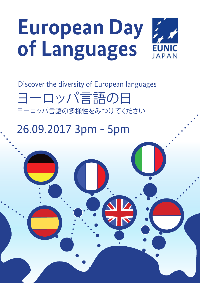## **European Day of Languages EUNIC JAPAN**

Discover the diversity of European languages ヨーロッパ言語の日 ヨーロッパ言語の多様性をみつけてください

## 26.09.2017 3pm - 5pm